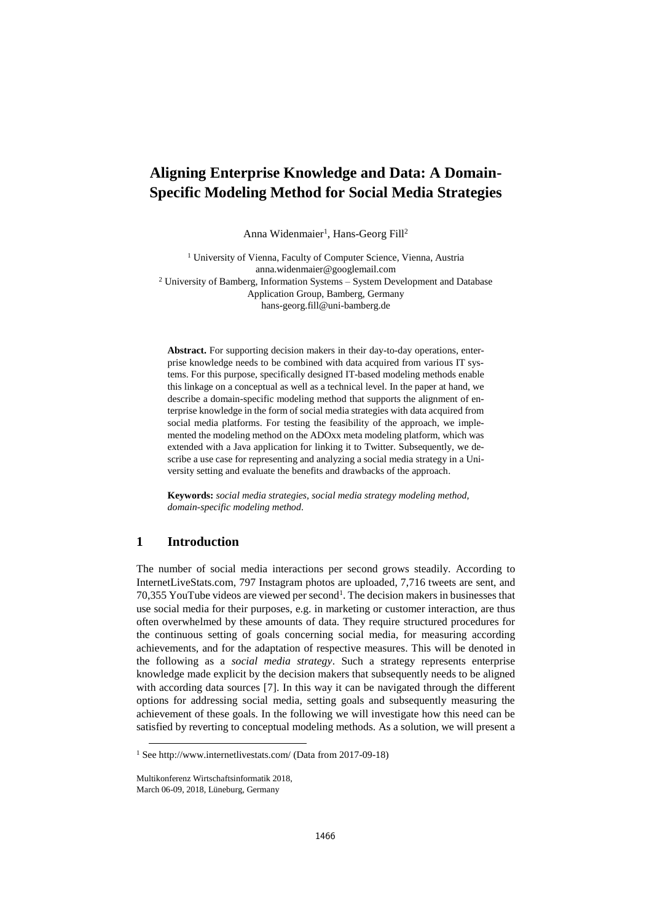# **Aligning Enterprise Knowledge and Data: A Domain-Specific Modeling Method for Social Media Strategies**

Anna Widenmaier<sup>1</sup>, Hans-Georg Fill<sup>2</sup>

<sup>1</sup> University of Vienna, Faculty of Computer Science, Vienna, Austria anna.widenmaier@googlemail.com <sup>2</sup> University of Bamberg, Information Systems – System Development and Database Application Group, Bamberg, Germany hans-georg.fill@uni-bamberg.de

**Abstract.** For supporting decision makers in their day-to-day operations, enterprise knowledge needs to be combined with data acquired from various IT systems. For this purpose, specifically designed IT-based modeling methods enable this linkage on a conceptual as well as a technical level. In the paper at hand, we describe a domain-specific modeling method that supports the alignment of enterprise knowledge in the form of social media strategies with data acquired from social media platforms. For testing the feasibility of the approach, we implemented the modeling method on the ADOxx meta modeling platform, which was extended with a Java application for linking it to Twitter. Subsequently, we describe a use case for representing and analyzing a social media strategy in a University setting and evaluate the benefits and drawbacks of the approach.

**Keywords:** *social media strategies, social media strategy modeling method, domain-specific modeling method*.

# **1 Introduction**

The number of social media interactions per second grows steadily. According to InternetLiveStats.com, 797 Instagram photos are uploaded, 7,716 tweets are sent, and 70,355 YouTube videos are viewed per second<sup>1</sup>. The decision makers in businesses that use social media for their purposes, e.g. in marketing or customer interaction, are thus often overwhelmed by these amounts of data. They require structured procedures for the continuous setting of goals concerning social media, for measuring according achievements, and for the adaptation of respective measures. This will be denoted in the following as a *social media strategy*. Such a strategy represents enterprise knowledge made explicit by the decision makers that subsequently needs to be aligned with according data sources [7]. In this way it can be navigated through the different options for addressing social media, setting goals and subsequently measuring the achievement of these goals. In the following we will investigate how this need can be satisfied by reverting to conceptual modeling methods. As a solution, we will present a

-

<sup>1</sup> See http://www.internetlivestats.com/ (Data from 2017-09-18)

Multikonferenz Wirtschaftsinformatik 2018, March 06-09, 2018, Lüneburg, Germany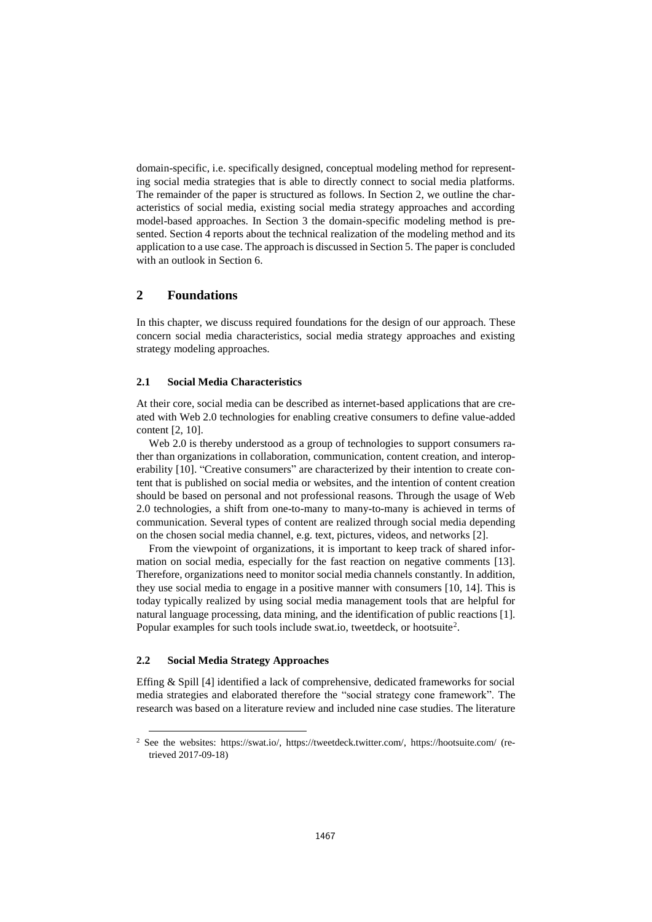domain-specific, i.e. specifically designed, conceptual modeling method for representing social media strategies that is able to directly connect to social media platforms. The remainder of the paper is structured as follows. In Section 2, we outline the characteristics of social media, existing social media strategy approaches and according model-based approaches. In Section 3 the domain-specific modeling method is presented. Section 4 reports about the technical realization of the modeling method and its application to a use case. The approach is discussed in Section 5. The paper is concluded with an outlook in Section 6.

### **2 Foundations**

In this chapter, we discuss required foundations for the design of our approach. These concern social media characteristics, social media strategy approaches and existing strategy modeling approaches.

### **2.1 Social Media Characteristics**

At their core, social media can be described as internet-based applications that are created with Web 2.0 technologies for enabling creative consumers to define value-added content [2, 10].

Web 2.0 is thereby understood as a group of technologies to support consumers rather than organizations in collaboration, communication, content creation, and interoperability [10]. "Creative consumers" are characterized by their intention to create content that is published on social media or websites, and the intention of content creation should be based on personal and not professional reasons. Through the usage of Web 2.0 technologies, a shift from one-to-many to many-to-many is achieved in terms of communication. Several types of content are realized through social media depending on the chosen social media channel, e.g. text, pictures, videos, and networks [2].

From the viewpoint of organizations, it is important to keep track of shared information on social media, especially for the fast reaction on negative comments [13]. Therefore, organizations need to monitor social media channels constantly. In addition, they use social media to engage in a positive manner with consumers [10, 14]. This is today typically realized by using social media management tools that are helpful for natural language processing, data mining, and the identification of public reactions [1]. Popular examples for such tools include swat.io, tweetdeck, or hootsuite<sup>2</sup>.

#### **2.2 Social Media Strategy Approaches**

1

Effing & Spill [4] identified a lack of comprehensive, dedicated frameworks for social media strategies and elaborated therefore the "social strategy cone framework". The research was based on a literature review and included nine case studies. The literature

<sup>2</sup> See the websites: https://swat.io/, https://tweetdeck.twitter.com/, https://hootsuite.com/ (retrieved 2017-09-18)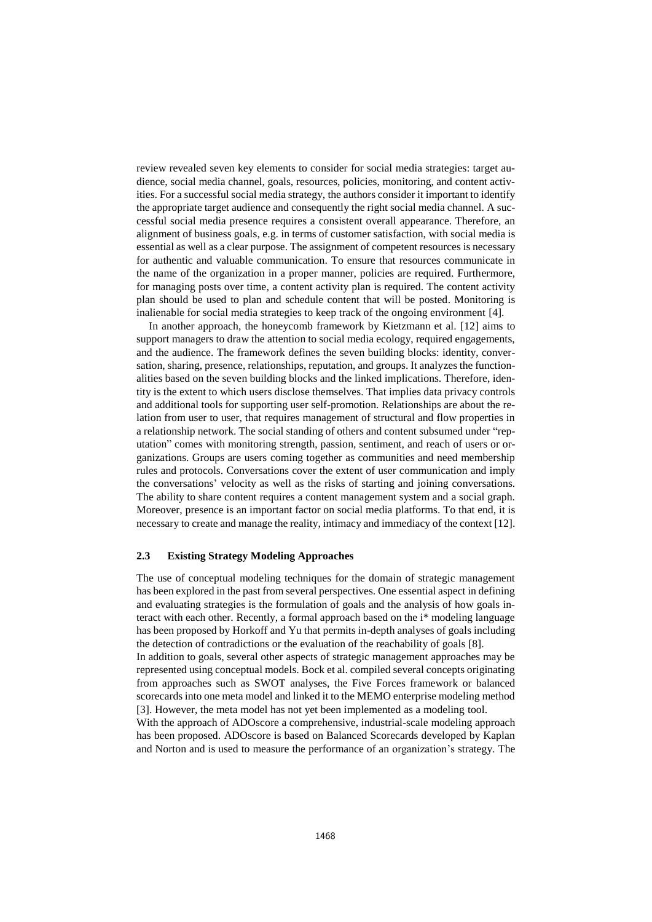review revealed seven key elements to consider for social media strategies: target audience, social media channel, goals, resources, policies, monitoring, and content activities. For a successful social media strategy, the authors consider it important to identify the appropriate target audience and consequently the right social media channel. A successful social media presence requires a consistent overall appearance. Therefore, an alignment of business goals, e.g. in terms of customer satisfaction, with social media is essential as well as a clear purpose. The assignment of competent resources is necessary for authentic and valuable communication. To ensure that resources communicate in the name of the organization in a proper manner, policies are required. Furthermore, for managing posts over time, a content activity plan is required. The content activity plan should be used to plan and schedule content that will be posted. Monitoring is inalienable for social media strategies to keep track of the ongoing environment [4].

In another approach, the honeycomb framework by Kietzmann et al. [12] aims to support managers to draw the attention to social media ecology, required engagements, and the audience. The framework defines the seven building blocks: identity, conversation, sharing, presence, relationships, reputation, and groups. It analyzes the functionalities based on the seven building blocks and the linked implications. Therefore, identity is the extent to which users disclose themselves. That implies data privacy controls and additional tools for supporting user self-promotion. Relationships are about the relation from user to user, that requires management of structural and flow properties in a relationship network. The social standing of others and content subsumed under "reputation" comes with monitoring strength, passion, sentiment, and reach of users or organizations. Groups are users coming together as communities and need membership rules and protocols. Conversations cover the extent of user communication and imply the conversations' velocity as well as the risks of starting and joining conversations. The ability to share content requires a content management system and a social graph. Moreover, presence is an important factor on social media platforms. To that end, it is necessary to create and manage the reality, intimacy and immediacy of the context [12].

#### **2.3 Existing Strategy Modeling Approaches**

The use of conceptual modeling techniques for the domain of strategic management has been explored in the past from several perspectives. One essential aspect in defining and evaluating strategies is the formulation of goals and the analysis of how goals interact with each other. Recently, a formal approach based on the i\* modeling language has been proposed by Horkoff and Yu that permits in-depth analyses of goals including the detection of contradictions or the evaluation of the reachability of goals [8].

In addition to goals, several other aspects of strategic management approaches may be represented using conceptual models. Bock et al. compiled several concepts originating from approaches such as SWOT analyses, the Five Forces framework or balanced scorecards into one meta model and linked it to the MEMO enterprise modeling method [3]. However, the meta model has not yet been implemented as a modeling tool.

With the approach of ADOscore a comprehensive, industrial-scale modeling approach has been proposed. ADOscore is based on Balanced Scorecards developed by Kaplan and Norton and is used to measure the performance of an organization's strategy. The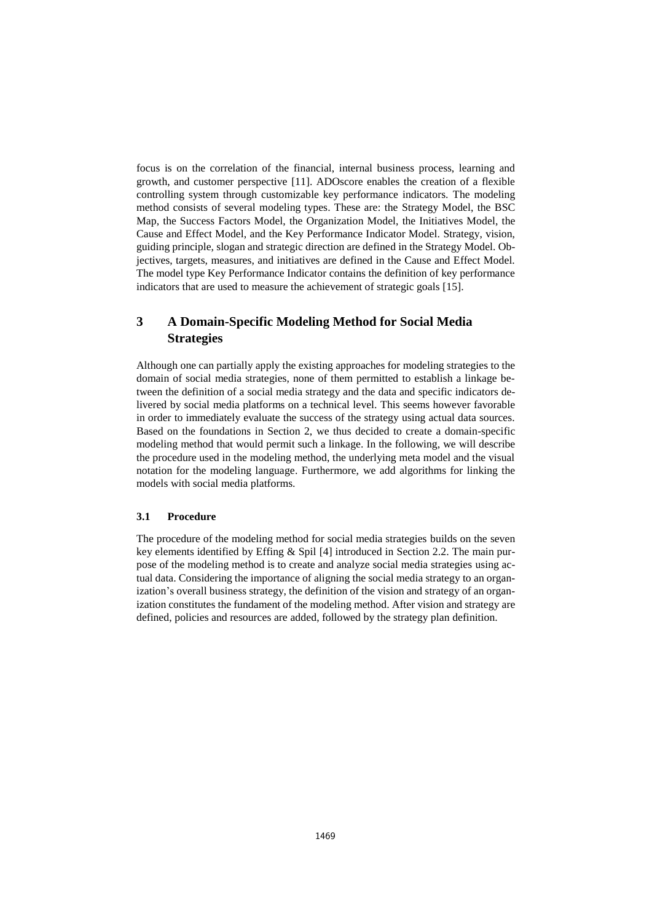focus is on the correlation of the financial, internal business process, learning and growth, and customer perspective [11]. ADOscore enables the creation of a flexible controlling system through customizable key performance indicators. The modeling method consists of several modeling types. These are: the Strategy Model, the BSC Map, the Success Factors Model, the Organization Model, the Initiatives Model, the Cause and Effect Model, and the Key Performance Indicator Model. Strategy, vision, guiding principle, slogan and strategic direction are defined in the Strategy Model. Objectives, targets, measures, and initiatives are defined in the Cause and Effect Model. The model type Key Performance Indicator contains the definition of key performance indicators that are used to measure the achievement of strategic goals [15].

# **3 A Domain-Specific Modeling Method for Social Media Strategies**

Although one can partially apply the existing approaches for modeling strategies to the domain of social media strategies, none of them permitted to establish a linkage between the definition of a social media strategy and the data and specific indicators delivered by social media platforms on a technical level. This seems however favorable in order to immediately evaluate the success of the strategy using actual data sources. Based on the foundations in Section 2, we thus decided to create a domain-specific modeling method that would permit such a linkage. In the following, we will describe the procedure used in the modeling method, the underlying meta model and the visual notation for the modeling language. Furthermore, we add algorithms for linking the models with social media platforms.

#### **3.1 Procedure**

The procedure of the modeling method for social media strategies builds on the seven key elements identified by Effing & Spil [4] introduced in Section 2.2. The main purpose of the modeling method is to create and analyze social media strategies using actual data. Considering the importance of aligning the social media strategy to an organization's overall business strategy, the definition of the vision and strategy of an organization constitutes the fundament of the modeling method. After vision and strategy are defined, policies and resources are added, followed by the strategy plan definition.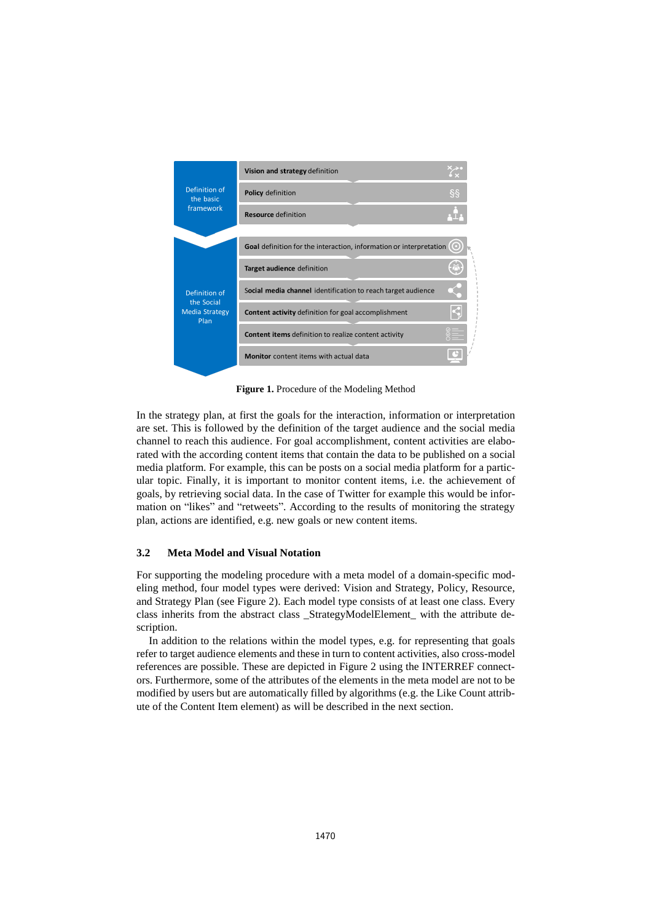

**Figure 1.** Procedure of the Modeling Method

In the strategy plan, at first the goals for the interaction, information or interpretation are set. This is followed by the definition of the target audience and the social media channel to reach this audience. For goal accomplishment, content activities are elaborated with the according content items that contain the data to be published on a social media platform. For example, this can be posts on a social media platform for a particular topic. Finally, it is important to monitor content items, i.e. the achievement of goals, by retrieving social data. In the case of Twitter for example this would be information on "likes" and "retweets". According to the results of monitoring the strategy plan, actions are identified, e.g. new goals or new content items.

#### **3.2 Meta Model and Visual Notation**

For supporting the modeling procedure with a meta model of a domain-specific modeling method, four model types were derived: Vision and Strategy, Policy, Resource, and Strategy Plan (see Figure 2). Each model type consists of at least one class. Every class inherits from the abstract class \_StrategyModelElement\_ with the attribute description.

In addition to the relations within the model types, e.g. for representing that goals refer to target audience elements and these in turn to content activities, also cross-model references are possible. These are depicted in Figure 2 using the INTERREF connectors. Furthermore, some of the attributes of the elements in the meta model are not to be modified by users but are automatically filled by algorithms (e.g. the Like Count attribute of the Content Item element) as will be described in the next section.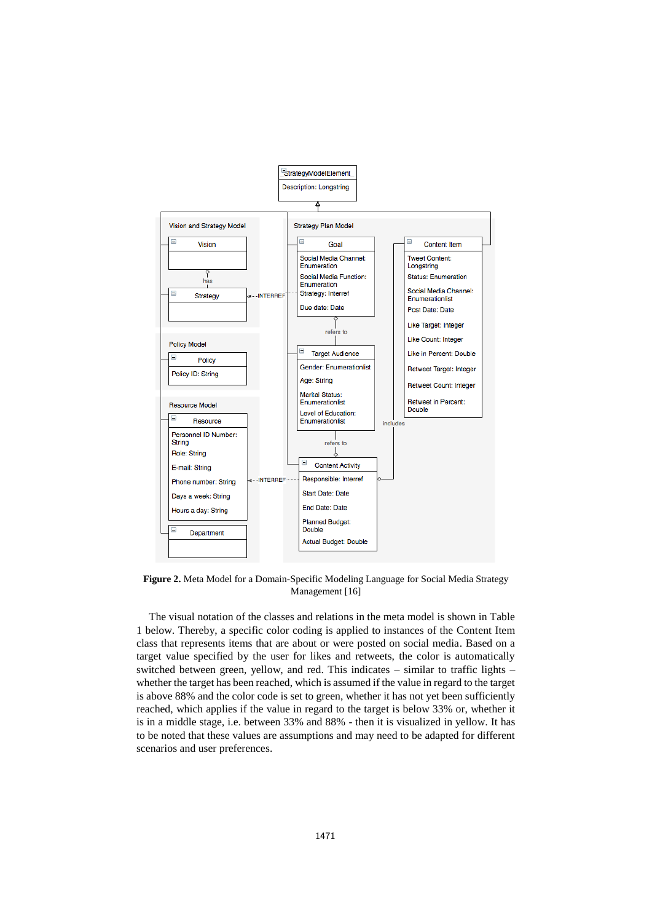

**Figure 2.** Meta Model for a Domain-Specific Modeling Language for Social Media Strategy Management [16]

The visual notation of the classes and relations in the meta model is shown in Table 1 below. Thereby, a specific color coding is applied to instances of the Content Item class that represents items that are about or were posted on social media. Based on a target value specified by the user for likes and retweets, the color is automatically switched between green, yellow, and red. This indicates – similar to traffic lights – whether the target has been reached, which is assumed if the value in regard to the target is above 88% and the color code is set to green, whether it has not yet been sufficiently reached, which applies if the value in regard to the target is below 33% or, whether it is in a middle stage, i.e. between 33% and 88% - then it is visualized in yellow. It has to be noted that these values are assumptions and may need to be adapted for different scenarios and user preferences.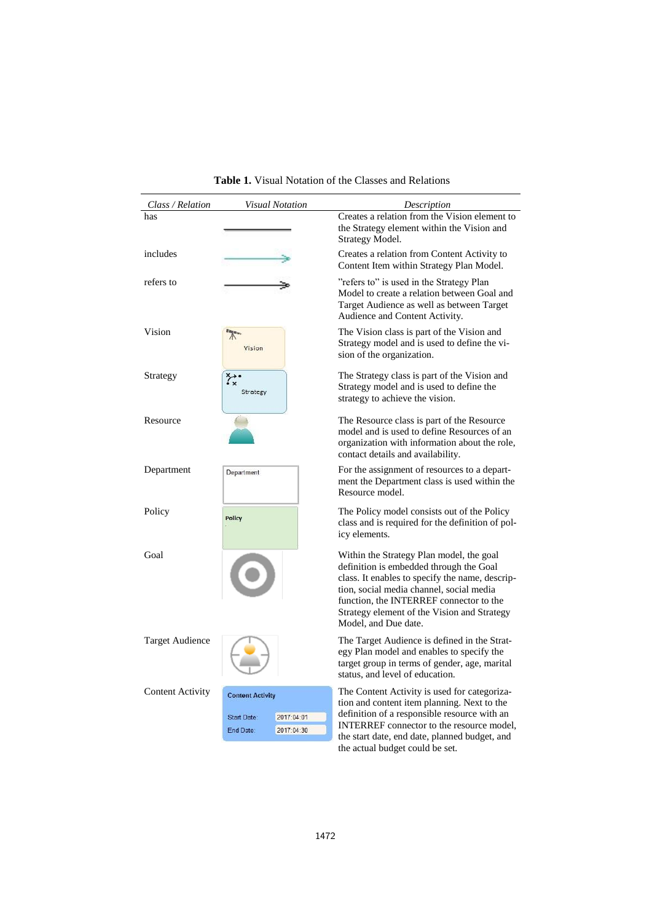| Class / Relation        | <i>Visual Notation</i>                                                          | Description                                                                                                                                                                                                                                                                                          |
|-------------------------|---------------------------------------------------------------------------------|------------------------------------------------------------------------------------------------------------------------------------------------------------------------------------------------------------------------------------------------------------------------------------------------------|
| has                     |                                                                                 | Creates a relation from the Vision element to<br>the Strategy element within the Vision and<br>Strategy Model.                                                                                                                                                                                       |
| includes                |                                                                                 | Creates a relation from Content Activity to<br>Content Item within Strategy Plan Model.                                                                                                                                                                                                              |
| refers to               |                                                                                 | "refers to" is used in the Strategy Plan<br>Model to create a relation between Goal and<br>Target Audience as well as between Target<br>Audience and Content Activity.                                                                                                                               |
| Vision                  | Vision                                                                          | The Vision class is part of the Vision and<br>Strategy model and is used to define the vi-<br>sion of the organization.                                                                                                                                                                              |
| Strategy                | $\widetilde{\zeta}^*_{\mathsf{x}}$<br>Strategy                                  | The Strategy class is part of the Vision and<br>Strategy model and is used to define the<br>strategy to achieve the vision.                                                                                                                                                                          |
| Resource                |                                                                                 | The Resource class is part of the Resource<br>model and is used to define Resources of an<br>organization with information about the role,<br>contact details and availability.                                                                                                                      |
| Department              | Department                                                                      | For the assignment of resources to a depart-<br>ment the Department class is used within the<br>Resource model.                                                                                                                                                                                      |
| Policy                  | Policy                                                                          | The Policy model consists out of the Policy<br>class and is required for the definition of pol-<br>icy elements.                                                                                                                                                                                     |
| Goal                    |                                                                                 | Within the Strategy Plan model, the goal<br>definition is embedded through the Goal<br>class. It enables to specify the name, descrip-<br>tion, social media channel, social media<br>function, the INTERREF connector to the<br>Strategy element of the Vision and Strategy<br>Model, and Due date. |
| <b>Target Audience</b>  |                                                                                 | The Target Audience is defined in the Strat-<br>egy Plan model and enables to specify the<br>target group in terms of gender, age, marital<br>status, and level of education.                                                                                                                        |
| <b>Content Activity</b> | <b>Content Activity</b><br>2017:04:01<br>Start Date:<br>2017:04:30<br>End Date: | The Content Activity is used for categoriza-<br>tion and content item planning. Next to the<br>definition of a responsible resource with an<br>INTERREF connector to the resource model,<br>the start date, end date, planned budget, and<br>the actual budget could be set.                         |

### **Table 1.** Visual Notation of the Classes and Relations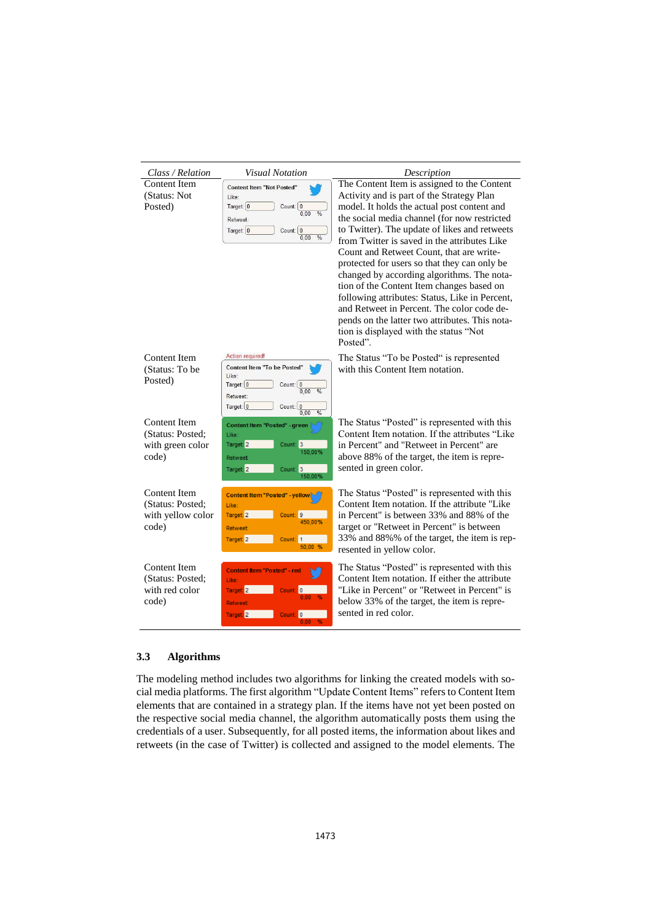| Class / Relation                                                     | <b>Visual Notation</b>                                                                                                                                                        | Description                                                                                                                                                                                                                                                                                                                                                                                                                                                                                                                                                                                                                                                                             |
|----------------------------------------------------------------------|-------------------------------------------------------------------------------------------------------------------------------------------------------------------------------|-----------------------------------------------------------------------------------------------------------------------------------------------------------------------------------------------------------------------------------------------------------------------------------------------------------------------------------------------------------------------------------------------------------------------------------------------------------------------------------------------------------------------------------------------------------------------------------------------------------------------------------------------------------------------------------------|
| Content Item<br>(Status: Not<br>Posted)                              | <b>Content Item "Not Posted"</b><br>Like:<br>Target: 0<br>Count: 0<br>0.00<br>$\frac{0}{6}$<br>Retweet:<br>Target: 0<br>Count: 0<br>0.00<br>$\frac{0}{6}$                     | The Content Item is assigned to the Content<br>Activity and is part of the Strategy Plan<br>model. It holds the actual post content and<br>the social media channel (for now restricted<br>to Twitter). The update of likes and retweets<br>from Twitter is saved in the attributes Like<br>Count and Retweet Count, that are write-<br>protected for users so that they can only be<br>changed by according algorithms. The nota-<br>tion of the Content Item changes based on<br>following attributes: Status, Like in Percent,<br>and Retweet in Percent. The color code de-<br>pends on the latter two attributes. This nota-<br>tion is displayed with the status "Not<br>Posted". |
| Content Item<br>(Status: To be<br>Posted)                            | <b>Action required!</b><br>Content Item "To be Posted"<br>Like:<br>Target: 0<br>Count: 0<br>0.00<br>$\frac{9}{6}$<br>Retweet:<br>Target: $\boxed{0}$<br>Count: 0<br>0.00<br>% | The Status "To be Posted" is represented<br>with this Content Item notation.                                                                                                                                                                                                                                                                                                                                                                                                                                                                                                                                                                                                            |
| <b>Content Item</b><br>(Status: Posted;<br>with green color<br>code) | Content Item "Posted" - green<br>Like:<br>Target: 2<br>Count: 3<br>150.00%<br>Retweet<br>Target: 2<br>Count: 3<br>150.00%                                                     | The Status "Posted" is represented with this<br>Content Item notation. If the attributes "Like"<br>in Percent" and "Retweet in Percent" are<br>above 88% of the target, the item is repre-<br>sented in green color.                                                                                                                                                                                                                                                                                                                                                                                                                                                                    |
| Content Item<br>(Status: Posted:<br>with yellow color<br>code)       | <b>Content Item "Posted" - yellow</b><br>Like:<br>Target: 2<br>Count: 9<br>450,00%<br><b>Retweet</b><br>Target: 2<br>Count: 1<br>50.00                                        | The Status "Posted" is represented with this<br>Content Item notation. If the attribute "Like"<br>in Percent" is between 33% and 88% of the<br>target or "Retweet in Percent" is between<br>33% and 88%% of the target, the item is rep-<br>resented in yellow color.                                                                                                                                                                                                                                                                                                                                                                                                                   |
| Content Item<br>(Status: Posted:<br>with red color<br>code)          | <b>Content Item "Posted" - red</b><br>Like<br>Target <sub>2</sub><br>Count: 0<br><b>Retweet</b><br>Target: 2<br>Count: 0                                                      | The Status "Posted" is represented with this<br>Content Item notation. If either the attribute<br>"Like in Percent" or "Retweet in Percent" is<br>below 33% of the target, the item is repre-<br>sented in red color.                                                                                                                                                                                                                                                                                                                                                                                                                                                                   |

### **3.3 Algorithms**

The modeling method includes two algorithms for linking the created models with social media platforms. The first algorithm "Update Content Items" refers to Content Item elements that are contained in a strategy plan. If the items have not yet been posted on the respective social media channel, the algorithm automatically posts them using the credentials of a user. Subsequently, for all posted items, the information about likes and retweets (in the case of Twitter) is collected and assigned to the model elements. The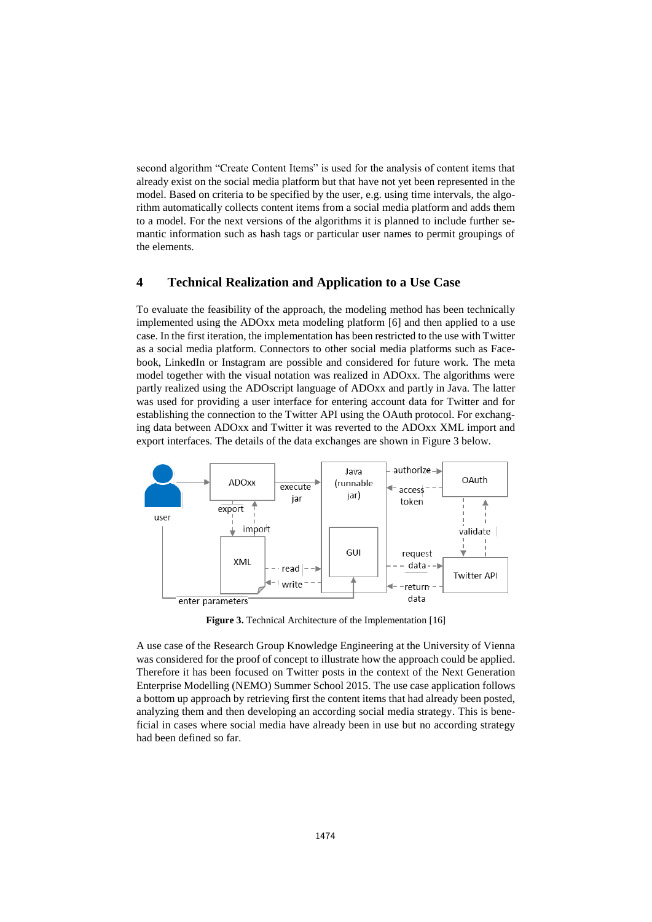second algorithm "Create Content Items" is used for the analysis of content items that already exist on the social media platform but that have not yet been represented in the model. Based on criteria to be specified by the user, e.g. using time intervals, the algorithm automatically collects content items from a social media platform and adds them to a model. For the next versions of the algorithms it is planned to include further semantic information such as hash tags or particular user names to permit groupings of the elements.

## **4 Technical Realization and Application to a Use Case**

To evaluate the feasibility of the approach, the modeling method has been technically implemented using the ADOxx meta modeling platform [6] and then applied to a use case. In the first iteration, the implementation has been restricted to the use with Twitter as a social media platform. Connectors to other social media platforms such as Facebook, LinkedIn or Instagram are possible and considered for future work. The meta model together with the visual notation was realized in ADOxx. The algorithms were partly realized using the ADOscript language of ADOxx and partly in Java. The latter was used for providing a user interface for entering account data for Twitter and for establishing the connection to the Twitter API using the OAuth protocol. For exchanging data between ADOxx and Twitter it was reverted to the ADOxx XML import and export interfaces. The details of the data exchanges are shown in Figure 3 below.



**Figure 3.** Technical Architecture of the Implementation [16]

A use case of the Research Group Knowledge Engineering at the University of Vienna was considered for the proof of concept to illustrate how the approach could be applied. Therefore it has been focused on Twitter posts in the context of the Next Generation Enterprise Modelling (NEMO) Summer School 2015. The use case application follows a bottom up approach by retrieving first the content items that had already been posted, analyzing them and then developing an according social media strategy. This is beneficial in cases where social media have already been in use but no according strategy had been defined so far.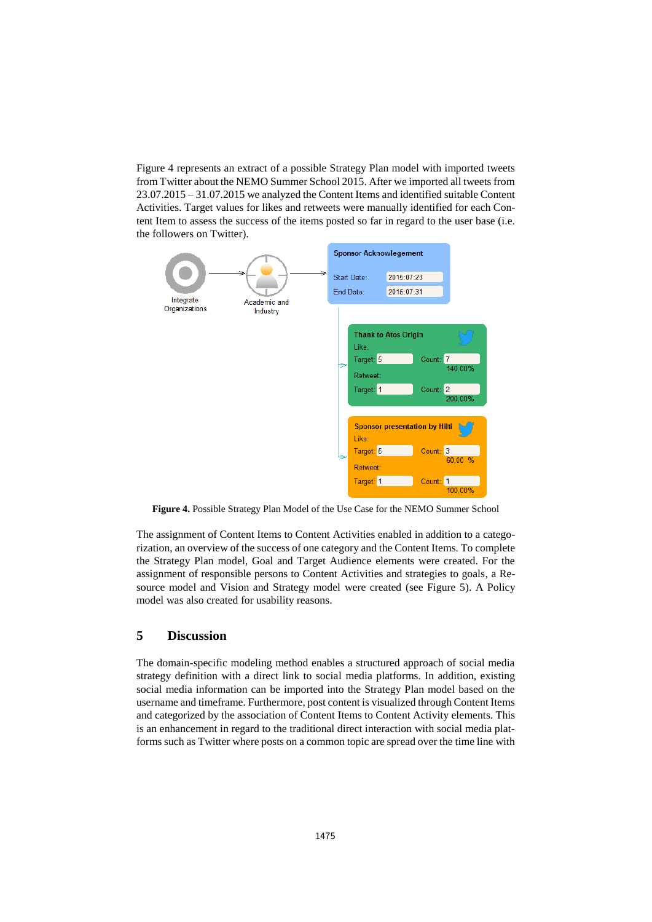Figure 4 represents an extract of a possible Strategy Plan model with imported tweets from Twitter about the NEMO Summer School 2015. After we imported all tweets from 23.07.2015 – 31.07.2015 we analyzed the Content Items and identified suitable Content Activities. Target values for likes and retweets were manually identified for each Content Item to assess the success of the items posted so far in regard to the user base (i.e. the followers on Twitter).



**Figure 4.** Possible Strategy Plan Model of the Use Case for the NEMO Summer School

The assignment of Content Items to Content Activities enabled in addition to a categorization, an overview of the success of one category and the Content Items. To complete the Strategy Plan model, Goal and Target Audience elements were created. For the assignment of responsible persons to Content Activities and strategies to goals, a Resource model and Vision and Strategy model were created (see Figure 5). A Policy model was also created for usability reasons.

# **5 Discussion**

The domain-specific modeling method enables a structured approach of social media strategy definition with a direct link to social media platforms. In addition, existing social media information can be imported into the Strategy Plan model based on the username and timeframe. Furthermore, post content is visualized through Content Items and categorized by the association of Content Items to Content Activity elements. This is an enhancement in regard to the traditional direct interaction with social media platforms such as Twitter where posts on a common topic are spread over the time line with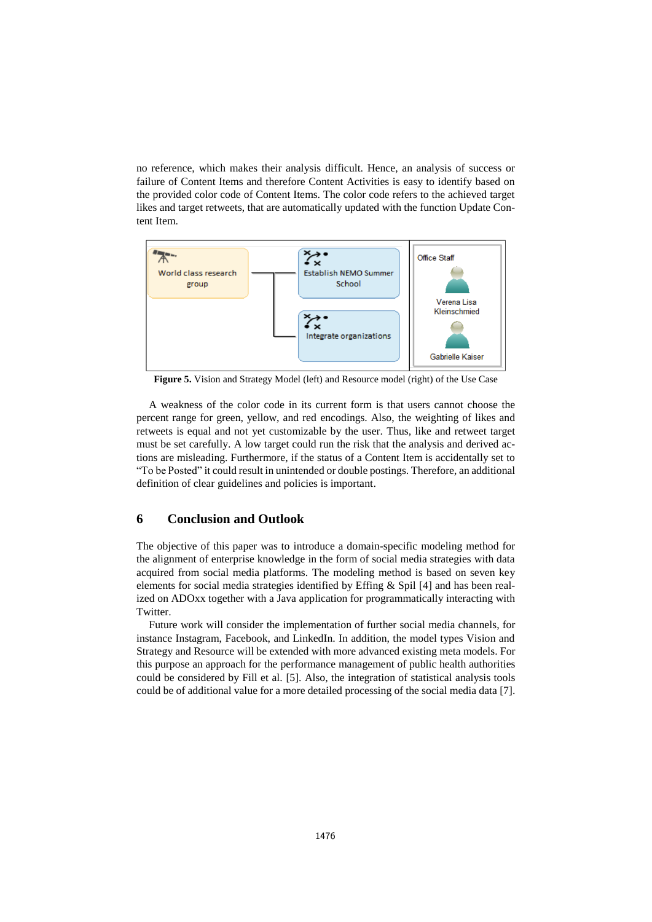no reference, which makes their analysis difficult. Hence, an analysis of success or failure of Content Items and therefore Content Activities is easy to identify based on the provided color code of Content Items. The color code refers to the achieved target likes and target retweets, that are automatically updated with the function Update Content Item.



Figure 5. Vision and Strategy Model (left) and Resource model (right) of the Use Case

A weakness of the color code in its current form is that users cannot choose the percent range for green, yellow, and red encodings. Also, the weighting of likes and retweets is equal and not yet customizable by the user. Thus, like and retweet target must be set carefully. A low target could run the risk that the analysis and derived actions are misleading. Furthermore, if the status of a Content Item is accidentally set to "To be Posted" it could result in unintended or double postings. Therefore, an additional definition of clear guidelines and policies is important.

### **6 Conclusion and Outlook**

The objective of this paper was to introduce a domain-specific modeling method for the alignment of enterprise knowledge in the form of social media strategies with data acquired from social media platforms. The modeling method is based on seven key elements for social media strategies identified by Effing & Spil [4] and has been realized on ADOxx together with a Java application for programmatically interacting with Twitter.

Future work will consider the implementation of further social media channels, for instance Instagram, Facebook, and LinkedIn. In addition, the model types Vision and Strategy and Resource will be extended with more advanced existing meta models. For this purpose an approach for the performance management of public health authorities could be considered by Fill et al. [5]. Also, the integration of statistical analysis tools could be of additional value for a more detailed processing of the social media data [7].